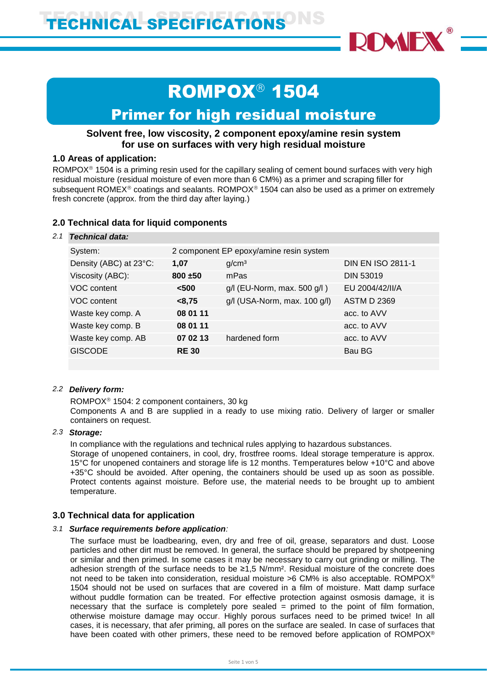

# ROMPOX<sup>®</sup> 1504

## Primer for high residual moisture

## **Solvent free, low viscosity, 2 component epoxy/amine resin system for use on surfaces with very high residual moisture**

### **1.0 Areas of application:**

ROMPOX $\textdegree$  1504 is a priming resin used for the capillary sealing of cement bound surfaces with very high residual moisture (residual moisture of even more than 6 CM%) as a primer and scraping filler for subsequent ROMEX<sup>®</sup> coatings and sealants. ROMPOX<sup>®</sup> 1504 can also be used as a primer on extremely fresh concrete (approx. from the third day after laying.)

### **2.0 Technical data for liquid components**

### *2.1 Technical data:*

| System:                | 2 component EP epoxy/amine resin system |                              |                          |  |
|------------------------|-----------------------------------------|------------------------------|--------------------------|--|
| Density (ABC) at 23°C: | 1,07                                    | g/cm <sup>3</sup>            | <b>DIN EN ISO 2811-1</b> |  |
| Viscosity (ABC):       | $800 + 50$                              | mPas                         | <b>DIN 53019</b>         |  |
| VOC content            | < 500                                   | g/l (EU-Norm, max. 500 g/l)  | EU 2004/42/II/A          |  |
| VOC content            | < 8,75                                  | g/l (USA-Norm, max. 100 g/l) | <b>ASTM D 2369</b>       |  |
| Waste key comp. A      | 08 01 11                                |                              | acc. to AVV              |  |
| Waste key comp. B      | 08 01 11                                |                              | acc. to AVV              |  |
| Waste key comp. AB     | 07 02 13                                | hardened form                | acc. to AVV              |  |
| <b>GISCODE</b>         | <b>RE30</b>                             |                              | Bau BG                   |  |
|                        |                                         |                              |                          |  |

### *2.2 Delivery form:*

ROMPOX<sup>®</sup> 1504: 2 component containers, 30 kg Components A and B are supplied in a ready to use mixing ratio. Delivery of larger or smaller containers on request.

### *2.3 Storage:*

In compliance with the regulations and technical rules applying to hazardous substances.

Storage of unopened containers, in cool, dry, frostfree rooms. Ideal storage temperature is approx. 15°C for unopened containers and storage life is 12 months. Temperatures below +10°C and above +35°C should be avoided. After opening, the containers should be used up as soon as possible. Protect contents against moisture. Before use, the material needs to be brought up to ambient temperature.

### **3.0 Technical data for application**

### *3.1 Surface requirements before application:*

The surface must be loadbearing, even, dry and free of oil, grease, separators and dust. Loose particles and other dirt must be removed. In general, the surface should be prepared by shotpeening or similar and then primed. In some cases it may be necessary to carry out grinding or milling. The adhesion strength of the surface needs to be ≥1,5 N/mm². Residual moisture of the concrete does not need to be taken into consideration, residual moisture >6 CM% is also acceptable. ROMPOX® 1504 should not be used on surfaces that are covered in a film of moisture. Matt damp surface without puddle formation can be treated. For effective protection against osmosis damage, it is necessary that the surface is completely pore sealed = primed to the point of film formation, otherwise moisture damage may occur. Highly porous surfaces need to be primed twice! In all cases, it is necessary, that afer priming, all pores on the surface are sealed. In case of surfaces that have been coated with other primers, these need to be removed before application of ROMPOX<sup>®</sup>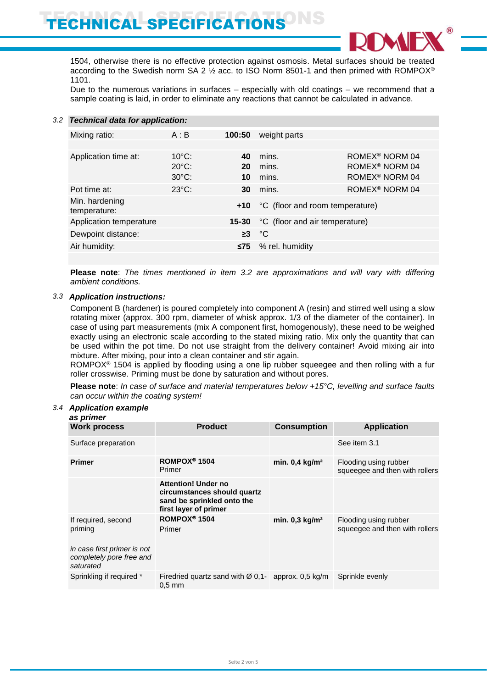

1504, otherwise there is no effective protection against osmosis. Metal surfaces should be treated according to the Swedish norm SA 2  $\frac{1}{2}$  acc. to ISO Norm 8501-1 and then primed with ROMPOX<sup>®</sup> 1101.

Due to the numerous variations in surfaces – especially with old coatings – we recommend that a sample coating is laid, in order to eliminate any reactions that cannot be calculated in advance.

### *3.2 Technical data for application:*

| Mixing ratio:                  | A : B           | 100:50    | weight parts                    |                            |
|--------------------------------|-----------------|-----------|---------------------------------|----------------------------|
|                                |                 |           |                                 |                            |
| Application time at:           | $10^{\circ}$ C: | 40        | mins.                           | ROMEX <sup>®</sup> NORM 04 |
|                                | $20^{\circ}$ C: | 20        | mins.                           | ROMEX <sup>®</sup> NORM 04 |
|                                | $30^{\circ}$ C: | 10        | mins.                           | ROMEX <sup>®</sup> NORM 04 |
| Pot time at:                   | $23^{\circ}$ C: | 30        | mins.                           | ROMEX <sup>®</sup> NORM 04 |
| Min. hardening<br>temperature: |                 | +10       | °C (floor and room temperature) |                            |
| Application temperature        |                 | $15 - 30$ | °C (floor and air temperature)  |                            |
| Dewpoint distance:             |                 | $\geq$ 3  | °C                              |                            |
| Air humidity:                  |                 | ≤75∶      | % rel. humidity                 |                            |
|                                |                 |           |                                 |                            |

**Please note**: *The times mentioned in item 3.2 are approximations and will vary with differing ambient conditions.*

### *3.3 Application instructions:*

Component B (hardener) is poured completely into component A (resin) and stirred well using a slow rotating mixer (approx. 300 rpm, diameter of whisk approx. 1/3 of the diameter of the container). In case of using part measurements (mix A component first, homogenously), these need to be weighed exactly using an electronic scale according to the stated mixing ratio. Mix only the quantity that can be used within the pot time. Do not use straight from the delivery container! Avoid mixing air into mixture. After mixing, pour into a clean container and stir again.

ROMPOX<sup>®</sup> 1504 is applied by flooding using a one lip rubber squeegee and then rolling with a fur roller crosswise. Priming must be done by saturation and without pores.

**Please note**: *In case of surface and material temperatures below +15°C, levelling and surface faults can occur within the coating system!* 

### *3.4 Application example*

| as primer                                                     |                                                                                                                  |                              |                                                         |
|---------------------------------------------------------------|------------------------------------------------------------------------------------------------------------------|------------------------------|---------------------------------------------------------|
| <b>Work process</b>                                           | <b>Product</b>                                                                                                   | <b>Consumption</b>           | <b>Application</b>                                      |
| Surface preparation                                           |                                                                                                                  |                              | See item 3.1                                            |
| <b>Primer</b>                                                 | ROMPOX <sup>®</sup> 1504<br>Primer                                                                               | min. $0,4$ kg/m <sup>2</sup> | Flooding using rubber<br>squeegee and then with rollers |
|                                                               | <b>Attention! Under no</b><br>circumstances should quartz<br>sand be sprinkled onto the<br>first layer of primer |                              |                                                         |
| If required, second<br>priming<br>in case first primer is not | ROMPOX <sup>®</sup> 1504<br>Primer                                                                               | min. $0,3$ kg/m <sup>2</sup> | Flooding using rubber<br>squeegee and then with rollers |
| completely pore free and<br>saturated                         |                                                                                                                  |                              |                                                         |
| Sprinkling if required *                                      | Firedried quartz sand with $\varnothing$ 0,1- approx. 0,5 kg/m<br>$0.5$ mm                                       |                              | Sprinkle evenly                                         |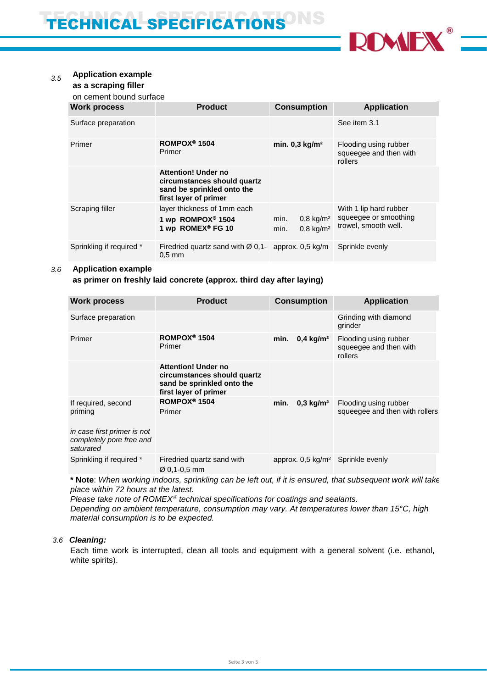

### *3.5* **Application example**

## **as a scraping filler**

on cement bound surface

| <b>Work process</b>      | <b>Product</b>                                                                                                   | <b>Consumption</b>                                           | <b>Application</b>                                                      |
|--------------------------|------------------------------------------------------------------------------------------------------------------|--------------------------------------------------------------|-------------------------------------------------------------------------|
| Surface preparation      |                                                                                                                  |                                                              | See item 3.1                                                            |
| Primer                   | ROMPOX <sup>®</sup> 1504<br>Primer                                                                               | min. $0,3$ kg/m <sup>2</sup>                                 | Flooding using rubber<br>squeegee and then with<br>rollers              |
|                          | <b>Attention! Under no</b><br>circumstances should quartz<br>sand be sprinkled onto the<br>first layer of primer |                                                              |                                                                         |
| Scraping filler          | layer thickness of 1mm each<br>1 wp ROMPOX <sup>®</sup> 1504<br>1 wp ROMEX® FG 10                                | $0,8 \text{ kg/m}^2$<br>min.<br>$0,8 \text{ kg/m}^2$<br>min. | With 1 lip hard rubber<br>squeegee or smoothing<br>trowel, smooth well. |
| Sprinkling if required * | Firedried quartz sand with $\varnothing$ 0.1- approx. 0.5 kg/m<br>$0.5$ mm                                       |                                                              | Sprinkle evenly                                                         |

### *3.6* **Application example**

### **as primer on freshly laid concrete (approx. third day after laying)**

| <b>Work process</b>                                                  | <b>Product</b>                                                                                                   | <b>Consumption</b>                           | <b>Application</b>                                         |
|----------------------------------------------------------------------|------------------------------------------------------------------------------------------------------------------|----------------------------------------------|------------------------------------------------------------|
| Surface preparation                                                  |                                                                                                                  |                                              | Grinding with diamond<br>grinder                           |
| Primer                                                               | ROMPOX <sup>®</sup> 1504<br>Primer                                                                               | min.<br>$0,4 \text{ kg/m}^2$                 | Flooding using rubber<br>squeegee and then with<br>rollers |
|                                                                      | <b>Attention! Under no</b><br>circumstances should quartz<br>sand be sprinkled onto the<br>first layer of primer |                                              |                                                            |
| If required, second<br>priming                                       | ROMPOX <sup>®</sup> 1504<br>Primer                                                                               | min.<br>$0,3 \text{ kg/m}^2$                 | Flooding using rubber<br>squeegee and then with rollers    |
| in case first primer is not<br>completely pore free and<br>saturated |                                                                                                                  |                                              |                                                            |
| Sprinkling if required *                                             | Firedried quartz sand with<br>$\varnothing$ 0.1-0.5 mm                                                           | approx. $0.5 \text{ kg/m}^2$ Sprinkle evenly |                                                            |

**\* Note**: *When working indoors, sprinkling can be left out, if it is ensured, that subsequent work will take place within 72 hours at the latest.* 

*Please take note of ROMEX<sup>®</sup> technical specifications for coatings and sealants.* 

*Depending on ambient temperature, consumption may vary. At temperatures lower than 15°C, high material consumption is to be expected.*

### *3.6 Cleaning:*

Each time work is interrupted, clean all tools and equipment with a general solvent (i.e. ethanol, white spirits).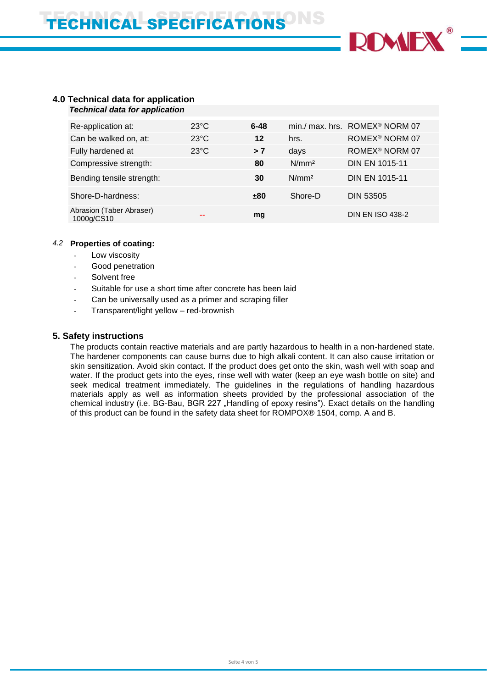

### **4.0 Technical data for application** *Technical data for application*

| Re-application at:                     | $23^{\circ}$ C | $6 - 48$ |                   | min./ max. hrs. ROMEX <sup>®</sup> NORM 07 |
|----------------------------------------|----------------|----------|-------------------|--------------------------------------------|
| Can be walked on, at:                  | $23^{\circ}$ C | 12       | hrs.              | ROMEX <sup>®</sup> NORM 07                 |
| Fully hardened at                      | $23^{\circ}$ C | > 7      | days              | ROMEX <sup>®</sup> NORM 07                 |
| Compressive strength:                  |                | 80       | N/mm <sup>2</sup> | <b>DIN EN 1015-11</b>                      |
| Bending tensile strength:              |                | 30       | N/mm <sup>2</sup> | <b>DIN EN 1015-11</b>                      |
| Shore-D-hardness:                      |                | ±80      | Shore-D           | <b>DIN 53505</b>                           |
| Abrasion (Taber Abraser)<br>1000g/CS10 | --             | mg       |                   | <b>DIN EN ISO 438-2</b>                    |

### *4.2* **Properties of coating:**

- Low viscosity
- Good penetration
- Solvent free
- Suitable for use a short time after concrete has been laid
- Can be universally used as a primer and scraping filler
- Transparent/light yellow red-brownish

## **5. Safety instructions**

The products contain reactive materials and are partly hazardous to health in a non-hardened state. The hardener components can cause burns due to high alkali content. It can also cause irritation or skin sensitization. Avoid skin contact. If the product does get onto the skin, wash well with soap and water. If the product gets into the eyes, rinse well with water (keep an eye wash bottle on site) and seek medical treatment immediately. The guidelines in the regulations of handling hazardous materials apply as well as information sheets provided by the professional association of the chemical industry (i.e. BG-Bau, BGR 227 "Handling of epoxy resins"). Exact details on the handling of this product can be found in the safety data sheet for ROMPOX® 1504, comp. A and B.